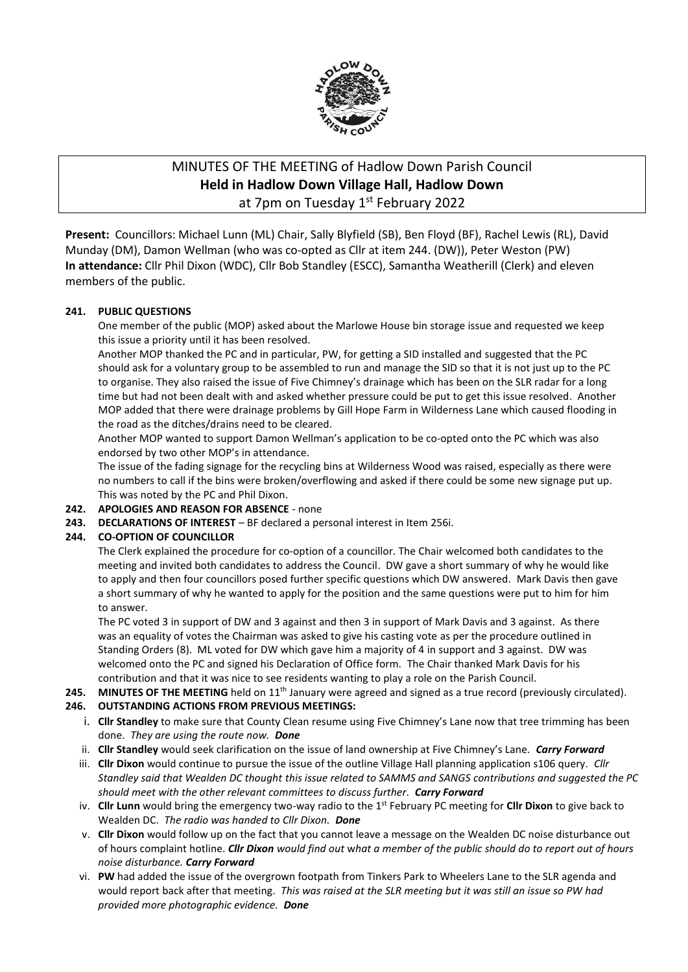

# MINUTES OF THE MEETING of Hadlow Down Parish Council **Held in Hadlow Down Village Hall, Hadlow Down** at 7pm on Tuesday 1st February 2022

**Present:** Councillors: Michael Lunn (ML) Chair, Sally Blyfield (SB), Ben Floyd (BF), Rachel Lewis (RL), David Munday (DM), Damon Wellman (who was co-opted as Cllr at item 244. (DW)), Peter Weston (PW) **In attendance:** Cllr Phil Dixon (WDC), Cllr Bob Standley (ESCC), Samantha Weatherill (Clerk) and eleven members of the public.

## **241. PUBLIC QUESTIONS**

One member of the public (MOP) asked about the Marlowe House bin storage issue and requested we keep this issue a priority until it has been resolved.

Another MOP thanked the PC and in particular, PW, for getting a SID installed and suggested that the PC should ask for a voluntary group to be assembled to run and manage the SID so that it is not just up to the PC to organise. They also raised the issue of Five Chimney's drainage which has been on the SLR radar for a long time but had not been dealt with and asked whether pressure could be put to get this issue resolved. Another MOP added that there were drainage problems by Gill Hope Farm in Wilderness Lane which caused flooding in the road as the ditches/drains need to be cleared.

Another MOP wanted to support Damon Wellman's application to be co-opted onto the PC which was also endorsed by two other MOP's in attendance.

The issue of the fading signage for the recycling bins at Wilderness Wood was raised, especially as there were no numbers to call if the bins were broken/overflowing and asked if there could be some new signage put up. This was noted by the PC and Phil Dixon.

## **242. APOLOGIES AND REASON FOR ABSENCE** - none

**243. DECLARATIONS OF INTEREST** – BF declared a personal interest in Item 256i.

## **244. CO-OPTION OF COUNCILLOR**

The Clerk explained the procedure for co-option of a councillor. The Chair welcomed both candidates to the meeting and invited both candidates to address the Council. DW gave a short summary of why he would like to apply and then four councillors posed further specific questions which DW answered. Mark Davis then gave a short summary of why he wanted to apply for the position and the same questions were put to him for him to answer.

The PC voted 3 in support of DW and 3 against and then 3 in support of Mark Davis and 3 against. As there was an equality of votes the Chairman was asked to give his casting vote as per the procedure outlined in Standing Orders (8). ML voted for DW which gave him a majority of 4 in support and 3 against. DW was welcomed onto the PC and signed his Declaration of Office form. The Chair thanked Mark Davis for his contribution and that it was nice to see residents wanting to play a role on the Parish Council.

## 245. MINUTES OF THE MEETING held on 11<sup>th</sup> January were agreed and signed as a true record (previously circulated).

## **246. OUTSTANDING ACTIONS FROM PREVIOUS MEETINGS:**

- i. **Cllr Standley** to make sure that County Clean resume using Five Chimney's Lane now that tree trimming has been done. *They are using the route now. Done*
- ii. **Cllr Standley** would seek clarification on the issue of land ownership at Five Chimney's Lane. *Carry Forward*
- iii. **Cllr Dixon** would continue to pursue the issue of the outline Village Hall planning application s106 query. *Cllr Standley said that Wealden DC thought this issue related to SAMMS and SANGS contributions and suggested the PC should meet with the other relevant committees to discuss further. Carry Forward*
- iv. **Cllr Lunn** would bring the emergency two-way radio to the 1st February PC meeting for **Cllr Dixon** to give back to Wealden DC. *The radio was handed to Cllr Dixon. Done*
- v. **Cllr Dixon** would follow up on the fact that you cannot leave a message on the Wealden DC noise disturbance out of hours complaint hotline. *Cllr Dixon would find out* w*hat a member of the public should do to report out of hours noise disturbance. Carry Forward*
- vi. **PW** had added the issue of the overgrown footpath from Tinkers Park to Wheelers Lane to the SLR agenda and would report back after that meeting. *This was raised at the SLR meeting but it was still an issue so PW had provided more photographic evidence. Done*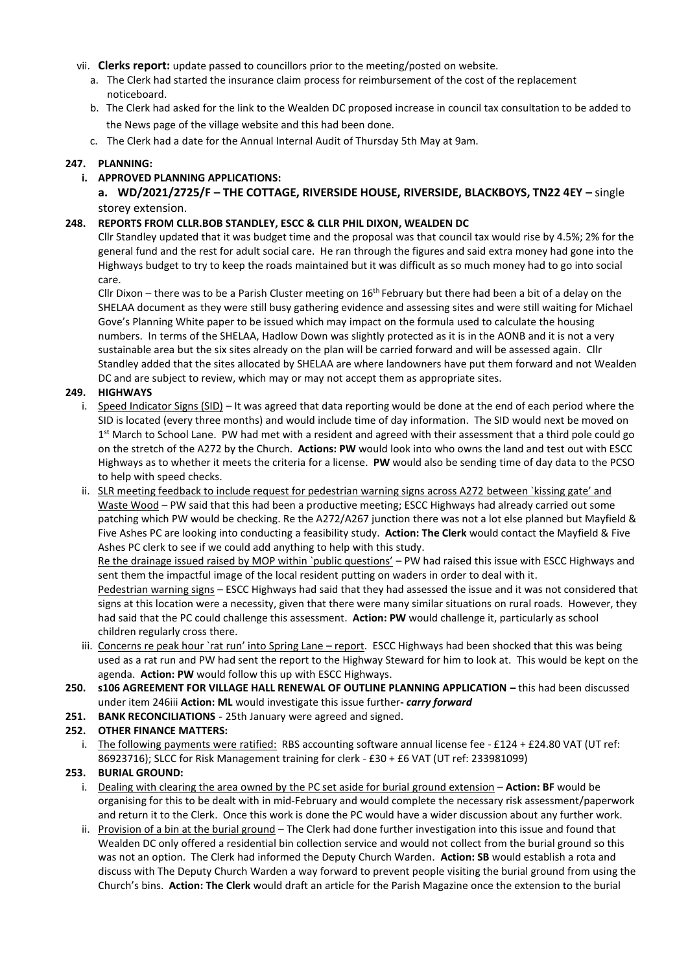- vii. **Clerks report:** update passed to councillors prior to the meeting/posted on website.
	- a. The Clerk had started the insurance claim process for reimbursement of the cost of the replacement noticeboard.
	- b. The Clerk had asked for the link to the Wealden DC proposed increase in council tax consultation to be added to the News page of the village website and this had been done.
	- c. The Clerk had a date for the Annual Internal Audit of Thursday 5th May at 9am.

## **247. PLANNING:**

## **i. APPROVED PLANNING APPLICATIONS:**

**a. WD/2021/2725/F – THE COTTAGE, RIVERSIDE HOUSE, RIVERSIDE, BLACKBOYS, TN22 4EY –** single storey extension.

#### **248. REPORTS FROM CLLR.BOB STANDLEY, ESCC & CLLR PHIL DIXON, WEALDEN DC**

Cllr Standley updated that it was budget time and the proposal was that council tax would rise by 4.5%; 2% for the general fund and the rest for adult social care. He ran through the figures and said extra money had gone into the Highways budget to try to keep the roads maintained but it was difficult as so much money had to go into social care.

Cllr Dixon – there was to be a Parish Cluster meeting on  $16<sup>th</sup>$  February but there had been a bit of a delay on the SHELAA document as they were still busy gathering evidence and assessing sites and were still waiting for Michael Gove's Planning White paper to be issued which may impact on the formula used to calculate the housing numbers. In terms of the SHELAA, Hadlow Down was slightly protected as it is in the AONB and it is not a very sustainable area but the six sites already on the plan will be carried forward and will be assessed again. Cllr Standley added that the sites allocated by SHELAA are where landowners have put them forward and not Wealden DC and are subject to review, which may or may not accept them as appropriate sites.

#### **249. HIGHWAYS**

- i. Speed Indicator Signs (SID) It was agreed that data reporting would be done at the end of each period where the SID is located (every three months) and would include time of day information. The SID would next be moved on 1<sup>st</sup> March to School Lane. PW had met with a resident and agreed with their assessment that a third pole could go on the stretch of the A272 by the Church. **Actions: PW** would look into who owns the land and test out with ESCC Highways as to whether it meets the criteria for a license. **PW** would also be sending time of day data to the PCSO to help with speed checks.
- ii. SLR meeting feedback to include request for pedestrian warning signs across A272 between `kissing gate' and Waste Wood – PW said that this had been a productive meeting; ESCC Highways had already carried out some patching which PW would be checking. Re the A272/A267 junction there was not a lot else planned but Mayfield & Five Ashes PC are looking into conducting a feasibility study. **Action: The Clerk** would contact the Mayfield & Five Ashes PC clerk to see if we could add anything to help with this study.

Re the drainage issued raised by MOP within `public questions' - PW had raised this issue with ESCC Highways and sent them the impactful image of the local resident putting on waders in order to deal with it.

Pedestrian warning signs - ESCC Highways had said that they had assessed the issue and it was not considered that signs at this location were a necessity, given that there were many similar situations on rural roads. However, they had said that the PC could challenge this assessment. **Action: PW** would challenge it, particularly as school children regularly cross there.

- iii. Concerns re peak hour `rat run' into Spring Lane report. ESCC Highways had been shocked that this was being used as a rat run and PW had sent the report to the Highway Steward for him to look at. This would be kept on the agenda. **Action: PW** would follow this up with ESCC Highways.
- **250. s106 AGREEMENT FOR VILLAGE HALL RENEWAL OF OUTLINE PLANNING APPLICATION –** this had been discussed under item 246iii **Action: ML** would investigate this issue further**-** *carry forward*
- **251. BANK RECONCILIATIONS -** 25th January were agreed and signed.

## **252. OTHER FINANCE MATTERS:**

i. The following payments were ratified: RBS accounting software annual license fee - £124 + £24.80 VAT (UT ref: 86923716); SLCC for Risk Management training for clerk - £30 + £6 VAT (UT ref: 233981099)

## **253. BURIAL GROUND:**

- i. Dealing with clearing the area owned by the PC set aside for burial ground extension **Action: BF** would be organising for this to be dealt with in mid-February and would complete the necessary risk assessment/paperwork and return it to the Clerk. Once this work is done the PC would have a wider discussion about any further work.
- ii. Provision of a bin at the burial ground The Clerk had done further investigation into this issue and found that Wealden DC only offered a residential bin collection service and would not collect from the burial ground so this was not an option. The Clerk had informed the Deputy Church Warden. **Action: SB** would establish a rota and discuss with The Deputy Church Warden a way forward to prevent people visiting the burial ground from using the Church's bins. **Action: The Clerk** would draft an article for the Parish Magazine once the extension to the burial